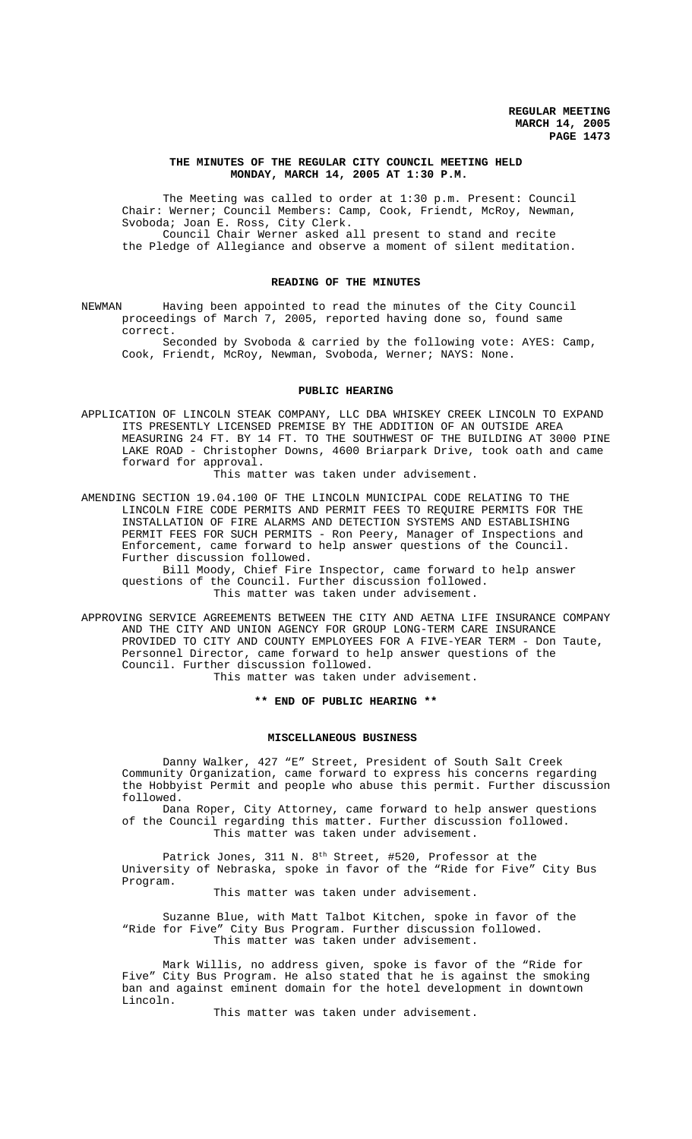## **THE MINUTES OF THE REGULAR CITY COUNCIL MEETING HELD MONDAY, MARCH 14, 2005 AT 1:30 P.M.**

The Meeting was called to order at 1:30 p.m. Present: Council Chair: Werner; Council Members: Camp, Cook, Friendt, McRoy, Newman, Svoboda; Joan E. Ross, City Clerk. Council Chair Werner asked all present to stand and recite the Pledge of Allegiance and observe a moment of silent meditation.

#### **READING OF THE MINUTES**

NEWMAN Having been appointed to read the minutes of the City Council proceedings of March 7, 2005, reported having done so, found same correct.

Seconded by Svoboda & carried by the following vote: AYES: Camp, Cook, Friendt, McRoy, Newman, Svoboda, Werner; NAYS: None.

## **PUBLIC HEARING**

APPLICATION OF LINCOLN STEAK COMPANY, LLC DBA WHISKEY CREEK LINCOLN TO EXPAND ITS PRESENTLY LICENSED PREMISE BY THE ADDITION OF AN OUTSIDE AREA MEASURING 24 FT. BY 14 FT. TO THE SOUTHWEST OF THE BUILDING AT 3000 PINE LAKE ROAD - Christopher Downs, 4600 Briarpark Drive, took oath and came forward for approval.

This matter was taken under advisement.

AMENDING SECTION 19.04.100 OF THE LINCOLN MUNICIPAL CODE RELATING TO THE LINCOLN FIRE CODE PERMITS AND PERMIT FEES TO REQUIRE PERMITS FOR THE INSTALLATION OF FIRE ALARMS AND DETECTION SYSTEMS AND ESTABLISHING PERMIT FEES FOR SUCH PERMITS - Ron Peery, Manager of Inspections and Enforcement, came forward to help answer questions of the Council. Further discussion followed.

Bill Moody, Chief Fire Inspector, came forward to help answer questions of the Council. Further discussion followed. This matter was taken under advisement.

APPROVING SERVICE AGREEMENTS BETWEEN THE CITY AND AETNA LIFE INSURANCE COMPANY AND THE CITY AND UNION AGENCY FOR GROUP LONG-TERM CARE INSURANCE PROVIDED TO CITY AND COUNTY EMPLOYEES FOR A FIVE-YEAR TERM - Don Taute, Personnel Director, came forward to help answer questions of the Council. Further discussion followed.

This matter was taken under advisement.

**\*\* END OF PUBLIC HEARING \*\***

#### **MISCELLANEOUS BUSINESS**

Danny Walker, 427 "E" Street, President of South Salt Creek Community Organization, came forward to express his concerns regarding the Hobbyist Permit and people who abuse this permit. Further discussion followed.

Dana Roper, City Attorney, came forward to help answer questions of the Council regarding this matter. Further discussion followed. This matter was taken under advisement.

Patrick Jones, 311 N.  $8<sup>th</sup>$  Street, #520, Professor at the University of Nebraska, spoke in favor of the "Ride for Five" City Bus Program.

This matter was taken under advisement.

Suzanne Blue, with Matt Talbot Kitchen, spoke in favor of the "Ride for Five" City Bus Program. Further discussion followed. This matter was taken under advisement.

Mark Willis, no address given, spoke is favor of the "Ride for Five" City Bus Program. He also stated that he is against the smoking ban and against eminent domain for the hotel development in downtown Lincoln.

This matter was taken under advisement.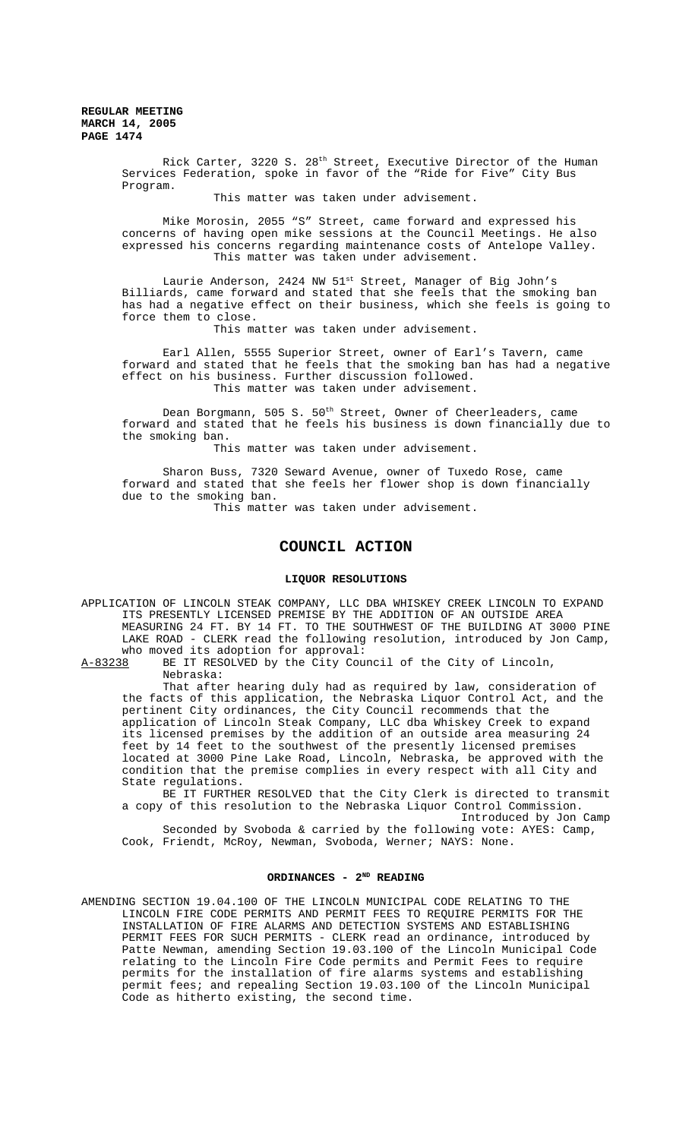**REGULAR MEETING MARCH 14, 2005 PAGE 1474**

> Rick Carter, 3220 S. 28th Street, Executive Director of the Human Services Federation, spoke in favor of the "Ride for Five" City Bus Program.

> > This matter was taken under advisement.

Mike Morosin, 2055 "S" Street, came forward and expressed his concerns of having open mike sessions at the Council Meetings. He also expressed his concerns regarding maintenance costs of Antelope Valley. This matter was taken under advisement.

Laurie Anderson, 2424 NW 51<sup>st</sup> Street, Manager of Big John's Billiards, came forward and stated that she feels that the smoking ban has had a negative effect on their business, which she feels is going to force them to close.

This matter was taken under advisement.

Earl Allen, 5555 Superior Street, owner of Earl's Tavern, came forward and stated that he feels that the smoking ban has had a negative effect on his business. Further discussion followed. This matter was taken under advisement.

Dean Borgmann, 505 S. 50<sup>th</sup> Street, Owner of Cheerleaders, came forward and stated that he feels his business is down financially due to the smoking ban.

This matter was taken under advisement.

Sharon Buss, 7320 Seward Avenue, owner of Tuxedo Rose, came forward and stated that she feels her flower shop is down financially due to the smoking ban.

This matter was taken under advisement.

# **COUNCIL ACTION**

### **LIQUOR RESOLUTIONS**

APPLICATION OF LINCOLN STEAK COMPANY, LLC DBA WHISKEY CREEK LINCOLN TO EXPAND ITS PRESENTLY LICENSED PREMISE BY THE ADDITION OF AN OUTSIDE AREA MEASURING 24 FT. BY 14 FT. TO THE SOUTHWEST OF THE BUILDING AT 3000 PINE LAKE ROAD - CLERK read the following resolution, introduced by Jon Camp, who moved its adoption for approval:

A-83238 BE IT RESOLVED by the City Council of the City of Lincoln, Nebraska:

That after hearing duly had as required by law, consideration of the facts of this application, the Nebraska Liquor Control Act, and the pertinent City ordinances, the City Council recommends that the application of Lincoln Steak Company, LLC dba Whiskey Creek to expand its licensed premises by the addition of an outside area measuring 24 feet by 14 feet to the southwest of the presently licensed premises located at 3000 Pine Lake Road, Lincoln, Nebraska, be approved with the condition that the premise complies in every respect with all City and State regulations.

BE IT FURTHER RESOLVED that the City Clerk is directed to transmit a copy of this resolution to the Nebraska Liquor Control Commission. Introduced by Jon Camp Seconded by Svoboda & carried by the following vote: AYES: Camp,

Cook, Friendt, McRoy, Newman, Svoboda, Werner; NAYS: None.

## **ORDINANCES - 2ND READING**

AMENDING SECTION 19.04.100 OF THE LINCOLN MUNICIPAL CODE RELATING TO THE LINCOLN FIRE CODE PERMITS AND PERMIT FEES TO REQUIRE PERMITS FOR THE INSTALLATION OF FIRE ALARMS AND DETECTION SYSTEMS AND ESTABLISHING PERMIT FEES FOR SUCH PERMITS - CLERK read an ordinance, introduced by Patte Newman, amending Section 19.03.100 of the Lincoln Municipal Code relating to the Lincoln Fire Code permits and Permit Fees to require permits for the installation of fire alarms systems and establishing permit fees; and repealing Section 19.03.100 of the Lincoln Municipal Code as hitherto existing, the second time.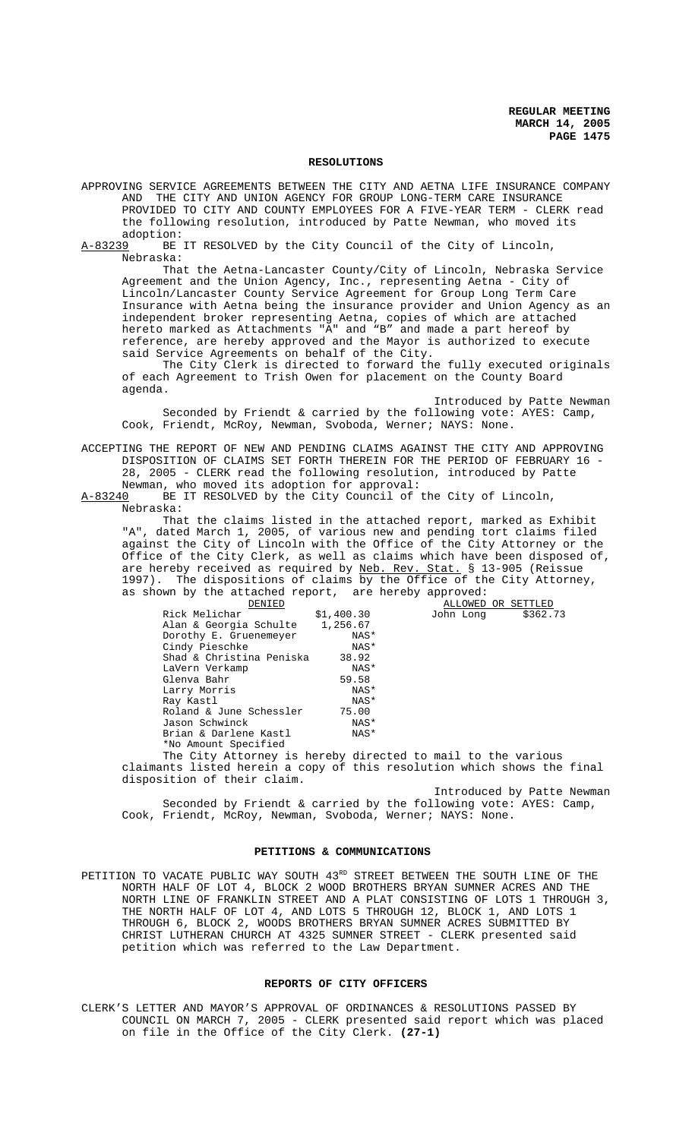**REGULAR MEETING MARCH 14, 2005 PAGE 1475**

## **RESOLUTIONS**

- APPROVING SERVICE AGREEMENTS BETWEEN THE CITY AND AETNA LIFE INSURANCE COMPANY<br>AND THE CITY AND UNION AGENCY FOR GROUP LONG-TERM CARE INSURANCE THE CITY AND UNION AGENCY FOR GROUP LONG-TERM CARE INSURANCE PROVIDED TO CITY AND COUNTY EMPLOYEES FOR A FIVE-YEAR TERM - CLERK read the following resolution, introduced by Patte Newman, who moved its adoption:
- A-83239 BE IT RESOLVED by the City Council of the City of Lincoln, Nebraska:

That the Aetna-Lancaster County/City of Lincoln, Nebraska Service Agreement and the Union Agency, Inc., representing Aetna - City of Lincoln/Lancaster County Service Agreement for Group Long Term Care Insurance with Aetna being the insurance provider and Union Agency as an independent broker representing Aetna, copies of which are attached hereto marked as Attachments "A" and "B" and made a part hereof by reference, are hereby approved and the Mayor is authorized to execute said Service Agreements on behalf of the City.

The City Clerk is directed to forward the fully executed originals of each Agreement to Trish Owen for placement on the County Board agenda.

Introduced by Patte Newman Seconded by Friendt & carried by the following vote: AYES: Camp, Cook, Friendt, McRoy, Newman, Svoboda, Werner; NAYS: None.

ACCEPTING THE REPORT OF NEW AND PENDING CLAIMS AGAINST THE CITY AND APPROVING DISPOSITION OF CLAIMS SET FORTH THEREIN FOR THE PERIOD OF FEBRUARY 16 - 28, 2005 - CLERK read the following resolution, introduced by Patte

Newman, who moved its adoption for approval:

A-83240 BE IT RESOLVED by the City Council of the City of Lincoln, Nebraska:

That the claims listed in the attached report, marked as Exhibit "A", dated March 1, 2005, of various new and pending tort claims filed against the City of Lincoln with the Office of the City Attorney or the Office of the City Clerk, as well as claims which have been disposed of, are hereby received as required by Neb. Rev. Stat. § 13-905 (Reissue 1997). The dispositions of claims by the Office of the City Attorney, as shown by the attached report, are hereby approved:

| DENIED                   |            | ALLOWED OR SETTLED    |
|--------------------------|------------|-----------------------|
| Rick Melichar            | \$1,400.30 | \$362.73<br>John Long |
| Alan & Georgia Schulte   | 1,256.67   |                       |
| Dorothy E. Gruenemeyer   | NAS*       |                       |
| Cindy Pieschke           | NAS*       |                       |
| Shad & Christina Peniska | 38.92      |                       |
| LaVern Verkamp           | NAS*       |                       |
| Glenya Bahr              | 59.58      |                       |
| Larry Morris             | NAS*       |                       |
| Ray Kastl                | NAS*       |                       |
| Roland & June Schessler  | 75.00      |                       |
| Jason Schwinck           | NAS*       |                       |
| Brian & Darlene Kastl    | NAS*       |                       |
| *No Amount Specified     |            |                       |

The City Attorney is hereby directed to mail to the various claimants listed herein a copy of this resolution which shows the final disposition of their claim.

Introduced by Patte Newman Seconded by Friendt & carried by the following vote: AYES: Camp, Cook, Friendt, McRoy, Newman, Svoboda, Werner; NAYS: None.

## **PETITIONS & COMMUNICATIONS**

PETITION TO VACATE PUBLIC WAY SOUTH 43RD STREET BETWEEN THE SOUTH LINE OF THE NORTH HALF OF LOT 4, BLOCK 2 WOOD BROTHERS BRYAN SUMNER ACRES AND THE NORTH LINE OF FRANKLIN STREET AND A PLAT CONSISTING OF LOTS 1 THROUGH 3, THE NORTH HALF OF LOT 4, AND LOTS 5 THROUGH 12, BLOCK 1, AND LOTS 1 THROUGH 6, BLOCK 2, WOODS BROTHERS BRYAN SUMNER ACRES SUBMITTED BY CHRIST LUTHERAN CHURCH AT 4325 SUMNER STREET - CLERK presented said petition which was referred to the Law Department.

## **REPORTS OF CITY OFFICERS**

CLERK'S LETTER AND MAYOR'S APPROVAL OF ORDINANCES & RESOLUTIONS PASSED BY COUNCIL ON MARCH 7, 2005 - CLERK presented said report which was placed on file in the Office of the City Clerk. **(27-1)**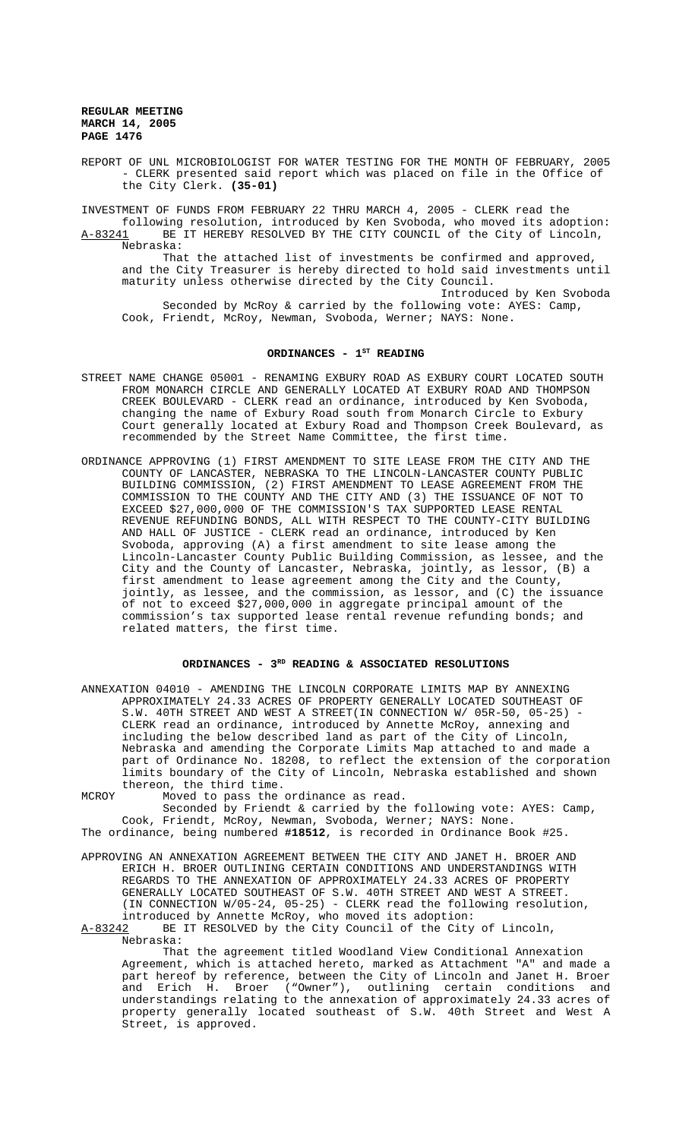**REGULAR MEETING MARCH 14, 2005 PAGE 1476**

REPORT OF UNL MICROBIOLOGIST FOR WATER TESTING FOR THE MONTH OF FEBRUARY, 2005 - CLERK presented said report which was placed on file in the Office of the City Clerk. **(35-01)**

INVESTMENT OF FUNDS FROM FEBRUARY 22 THRU MARCH 4, 2005 - CLERK read the following resolution, introduced by Ken Svoboda, who moved its adoption: A-83241 BE IT HEREBY RESOLVED BY THE CITY COUNCIL of the City of Lincoln, Nebraska: That the attached list of investments be confirmed and approved,

and the City Treasurer is hereby directed to hold said investments until maturity unless otherwise directed by the City Council. Introduced by Ken Svoboda Seconded by McRoy & carried by the following vote: AYES: Camp, Cook, Friendt, McRoy, Newman, Svoboda, Werner; NAYS: None.

#### ORDINANCES - 1<sup>st</sup> READING

- STREET NAME CHANGE 05001 RENAMING EXBURY ROAD AS EXBURY COURT LOCATED SOUTH FROM MONARCH CIRCLE AND GENERALLY LOCATED AT EXBURY ROAD AND THOMPSON CREEK BOULEVARD - CLERK read an ordinance, introduced by Ken Svoboda, changing the name of Exbury Road south from Monarch Circle to Exbury Court generally located at Exbury Road and Thompson Creek Boulevard, as recommended by the Street Name Committee, the first time.
- ORDINANCE APPROVING (1) FIRST AMENDMENT TO SITE LEASE FROM THE CITY AND THE COUNTY OF LANCASTER, NEBRASKA TO THE LINCOLN-LANCASTER COUNTY PUBLIC (2) FIRST AMENDMENT TO LEASE AGREEMENT FROM THE COMMISSION TO THE COUNTY AND THE CITY AND (3) THE ISSUANCE OF NOT TO EXCEED \$27,000,000 OF THE COMMISSION'S TAX SUPPORTED LEASE RENTAL REVENUE REFUNDING BONDS, ALL WITH RESPECT TO THE COUNTY-CITY BUILDING AND HALL OF JUSTICE - CLERK read an ordinance, introduced by Ken Svoboda, approving (A) a first amendment to site lease among the Lincoln-Lancaster County Public Building Commission, as lessee, and the City and the County of Lancaster, Nebraska, jointly, as lessor, (B) a first amendment to lease agreement among the City and the County, jointly, as lessee, and the commission, as lessor, and (C) the issuance of not to exceed \$27,000,000 in aggregate principal amount of the commission's tax supported lease rental revenue refunding bonds; and related matters, the first time.

## ORDINANCES - 3<sup>RD</sup> READING & ASSOCIATED RESOLUTIONS

- ANNEXATION 04010 AMENDING THE LINCOLN CORPORATE LIMITS MAP BY ANNEXING APPROXIMATELY 24.33 ACRES OF PROPERTY GENERALLY LOCATED SOUTHEAST OF S.W. 40TH STREET AND WEST A STREET(IN CONNECTION W/ 05R-50, 05-25) CLERK read an ordinance, introduced by Annette McRoy, annexing and including the below described land as part of the City of Lincoln, Nebraska and amending the Corporate Limits Map attached to and made a part of Ordinance No. 18208, to reflect the extension of the corporation limits boundary of the City of Lincoln, Nebraska established and shown thereon, the third time.
- MCROY Moved to pass the ordinance as read. Seconded by Friendt & carried by the following vote: AYES: Camp, Cook, Friendt, McRoy, Newman, Svoboda, Werner; NAYS: None.

The ordinance, being numbered **#18512**, is recorded in Ordinance Book #25.

APPROVING AN ANNEXATION AGREEMENT BETWEEN THE CITY AND JANET H. BROER AND ERICH H. BROER OUTLINING CERTAIN CONDITIONS AND UNDERSTANDINGS WITH REGARDS TO THE ANNEXATION OF APPROXIMATELY 24.33 ACRES OF PROPERTY GENERALLY LOCATED SOUTHEAST OF S.W. 40TH STREET AND WEST A STREET. (IN CONNECTION W/05-24, 05-25) - CLERK read the following resolution, introduced by Annette McRoy, who moved its adoption:

A-83242 BE IT RESOLVED by the City Council of the City of Lincoln, Nebraska:

That the agreement titled Woodland View Conditional Annexation Agreement, which is attached hereto, marked as Attachment "A" and made a part hereof by reference, between the City of Lincoln and Janet H. Broer and Erich H. Broer ("Owner"), outlining certain conditions and understandings relating to the annexation of approximately 24.33 acres of property generally located southeast of S.W. 40th Street and West A Street, is approved.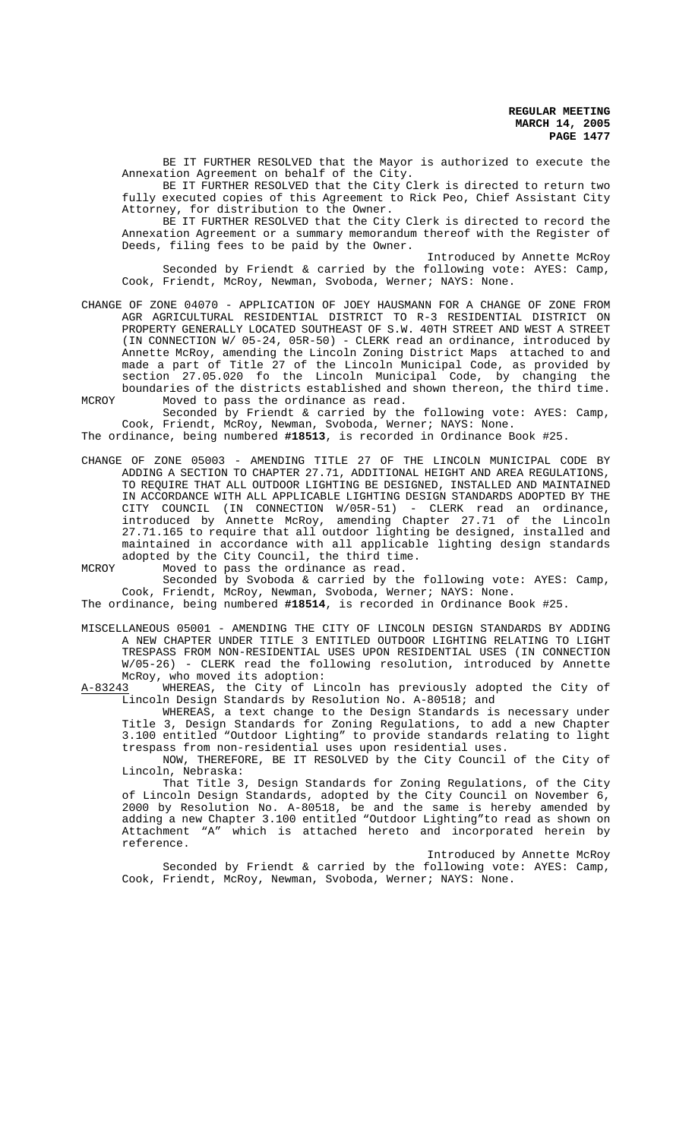BE IT FURTHER RESOLVED that the Mayor is authorized to execute the Annexation Agreement on behalf of the City.

BE IT FURTHER RESOLVED that the City Clerk is directed to return two fully executed copies of this Agreement to Rick Peo, Chief Assistant City Attorney, for distribution to the Owner.

BE IT FURTHER RESOLVED that the City Clerk is directed to record the Annexation Agreement or a summary memorandum thereof with the Register of Deeds, filing fees to be paid by the Owner.

Introduced by Annette McRoy Seconded by Friendt & carried by the following vote: AYES: Camp, Cook, Friendt, McRoy, Newman, Svoboda, Werner; NAYS: None.

- CHANGE OF ZONE 04070 APPLICATION OF JOEY HAUSMANN FOR A CHANGE OF ZONE FROM AGR AGRICULTURAL RESIDENTIAL DISTRICT TO R-3 RESIDENTIAL DISTRICT ON PROPERTY GENERALLY LOCATED SOUTHEAST OF S.W. 40TH STREET AND WEST A STREET (IN CONNECTION W/ 05-24, 05R-50) - CLERK read an ordinance, introduced by Annette McRoy, amending the Lincoln Zoning District Maps attached to and made a part of Title 27 of the Lincoln Municipal Code, as provided by section 27.05.020 fo the Lincoln Municipal Code, by changing the boundaries of the districts established and shown thereon, the third time. MCROY Moved to pass the ordinance as read.
- Seconded by Friendt & carried by the following vote: AYES: Camp, Cook, Friendt, McRoy, Newman, Svoboda, Werner; NAYS: None.

The ordinance, being numbered **#18513**, is recorded in Ordinance Book #25.

CHANGE OF ZONE 05003 - AMENDING TITLE 27 OF THE LINCOLN MUNICIPAL CODE BY ADDING A SECTION TO CHAPTER 27.71, ADDITIONAL HEIGHT AND AREA REGULATIONS, TO REQUIRE THAT ALL OUTDOOR LIGHTING BE DESIGNED, INSTALLED AND MAINTAINED IN ACCORDANCE WITH ALL APPLICABLE LIGHTING DESIGN STANDARDS ADOPTED BY THE CITY COUNCIL (IN CONNECTION W/05R-51) - CLERK read an ordinance, introduced by Annette McRoy, amending Chapter 27.71 of the Lincoln 27.71.165 to require that all outdoor lighting be designed, installed and maintained in accordance with all applicable lighting design standards adopted by the City Council, the third time.

MCROY Moved to pass the ordinance as read.

Seconded by Svoboda & carried by the following vote: AYES: Camp, Cook, Friendt, McRoy, Newman, Svoboda, Werner; NAYS: None.

The ordinance, being numbered **#18514**, is recorded in Ordinance Book #25.

MISCELLANEOUS 05001 - AMENDING THE CITY OF LINCOLN DESIGN STANDARDS BY ADDING A NEW CHAPTER UNDER TITLE 3 ENTITLED OUTDOOR LIGHTING RELATING TO LIGHT TRESPASS FROM NON-RESIDENTIAL USES UPON RESIDENTIAL USES (IN CONNECTION W/05-26) - CLERK read the following resolution, introduced by Annette

McRoy, who moved its adoption:<br>A-83243 WHEREAS, the City of Li A-83243 MHEREAS, the City of Lincoln has previously adopted the City of Lincoln Design Standards by Resolution No. A-80518; and

WHEREAS, a text change to the Design Standards is necessary under Title 3, Design Standards for Zoning Regulations, to add a new Chapter 3.100 entitled "Outdoor Lighting" to provide standards relating to light trespass from non-residential uses upon residential uses.

NOW, THEREFORE, BE IT RESOLVED by the City Council of the City of Lincoln, Nebraska:

That Title 3, Design Standards for Zoning Regulations, of the City of Lincoln Design Standards, adopted by the City Council on November 6, 2000 by Resolution No. A-80518, be and the same is hereby amended by adding a new Chapter 3.100 entitled "Outdoor Lighting"to read as shown on Attachment "A" which is attached hereto and incorporated herein by reference.

Introduced by Annette McRoy Seconded by Friendt & carried by the following vote: AYES: Camp, Cook, Friendt, McRoy, Newman, Svoboda, Werner; NAYS: None.